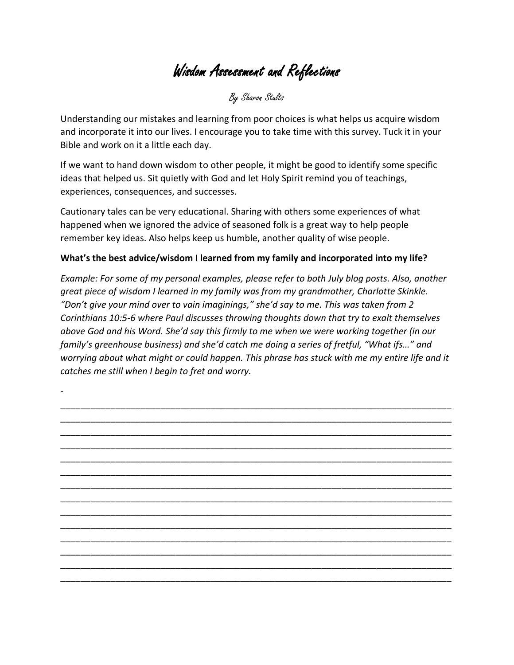Wisdom Assessment and Reflections

By Sharon Stults

Understanding our mistakes and learning from poor choices is what helps us acquire wisdom and incorporate it into our lives. I encourage you to take time with this survey. Tuck it in your Bible and work on it a little each day.

If we want to hand down wisdom to other people, it might be good to identify some specific ideas that helped us. Sit quietly with God and let Holy Spirit remind you of teachings, experiences, consequences, and successes.

Cautionary tales can be very educational. Sharing with others some experiences of what happened when we ignored the advice of seasoned folk is a great way to help people remember key ideas. Also helps keep us humble, another quality of wise people.

## **What's the best advice/wisdom I learned from my family and incorporated into my life?**

*Example: For some of my personal examples, please refer to both July blog posts. Also, another great piece of wisdom I learned in my family was from my grandmother, Charlotte Skinkle. "Don't give your mind over to vain imaginings," she'd say to me. This was taken from 2 Corinthians 10:5-6 where Paul discusses throwing thoughts down that try to exalt themselves above God and his Word. She'd say this firmly to me when we were working together (in our family's greenhouse business) and she'd catch me doing a series of fretful, "What ifs…" and worrying about what might or could happen. This phrase has stuck with me my entire life and it catches me still when I begin to fret and worry.*

\_\_\_\_\_\_\_\_\_\_\_\_\_\_\_\_\_\_\_\_\_\_\_\_\_\_\_\_\_\_\_\_\_\_\_\_\_\_\_\_\_\_\_\_\_\_\_\_\_\_\_\_\_\_\_\_\_\_\_\_\_\_\_\_\_\_\_\_\_\_\_\_\_\_\_\_\_\_ \_\_\_\_\_\_\_\_\_\_\_\_\_\_\_\_\_\_\_\_\_\_\_\_\_\_\_\_\_\_\_\_\_\_\_\_\_\_\_\_\_\_\_\_\_\_\_\_\_\_\_\_\_\_\_\_\_\_\_\_\_\_\_\_\_\_\_\_\_\_\_\_\_\_\_\_\_\_ \_\_\_\_\_\_\_\_\_\_\_\_\_\_\_\_\_\_\_\_\_\_\_\_\_\_\_\_\_\_\_\_\_\_\_\_\_\_\_\_\_\_\_\_\_\_\_\_\_\_\_\_\_\_\_\_\_\_\_\_\_\_\_\_\_\_\_\_\_\_\_\_\_\_\_\_\_\_ \_\_\_\_\_\_\_\_\_\_\_\_\_\_\_\_\_\_\_\_\_\_\_\_\_\_\_\_\_\_\_\_\_\_\_\_\_\_\_\_\_\_\_\_\_\_\_\_\_\_\_\_\_\_\_\_\_\_\_\_\_\_\_\_\_\_\_\_\_\_\_\_\_\_\_\_\_\_ \_\_\_\_\_\_\_\_\_\_\_\_\_\_\_\_\_\_\_\_\_\_\_\_\_\_\_\_\_\_\_\_\_\_\_\_\_\_\_\_\_\_\_\_\_\_\_\_\_\_\_\_\_\_\_\_\_\_\_\_\_\_\_\_\_\_\_\_\_\_\_\_\_\_\_\_\_\_ \_\_\_\_\_\_\_\_\_\_\_\_\_\_\_\_\_\_\_\_\_\_\_\_\_\_\_\_\_\_\_\_\_\_\_\_\_\_\_\_\_\_\_\_\_\_\_\_\_\_\_\_\_\_\_\_\_\_\_\_\_\_\_\_\_\_\_\_\_\_\_\_\_\_\_\_\_\_ \_\_\_\_\_\_\_\_\_\_\_\_\_\_\_\_\_\_\_\_\_\_\_\_\_\_\_\_\_\_\_\_\_\_\_\_\_\_\_\_\_\_\_\_\_\_\_\_\_\_\_\_\_\_\_\_\_\_\_\_\_\_\_\_\_\_\_\_\_\_\_\_\_\_\_\_\_\_ \_\_\_\_\_\_\_\_\_\_\_\_\_\_\_\_\_\_\_\_\_\_\_\_\_\_\_\_\_\_\_\_\_\_\_\_\_\_\_\_\_\_\_\_\_\_\_\_\_\_\_\_\_\_\_\_\_\_\_\_\_\_\_\_\_\_\_\_\_\_\_\_\_\_\_\_\_\_ \_\_\_\_\_\_\_\_\_\_\_\_\_\_\_\_\_\_\_\_\_\_\_\_\_\_\_\_\_\_\_\_\_\_\_\_\_\_\_\_\_\_\_\_\_\_\_\_\_\_\_\_\_\_\_\_\_\_\_\_\_\_\_\_\_\_\_\_\_\_\_\_\_\_\_\_\_\_ \_\_\_\_\_\_\_\_\_\_\_\_\_\_\_\_\_\_\_\_\_\_\_\_\_\_\_\_\_\_\_\_\_\_\_\_\_\_\_\_\_\_\_\_\_\_\_\_\_\_\_\_\_\_\_\_\_\_\_\_\_\_\_\_\_\_\_\_\_\_\_\_\_\_\_\_\_\_ \_\_\_\_\_\_\_\_\_\_\_\_\_\_\_\_\_\_\_\_\_\_\_\_\_\_\_\_\_\_\_\_\_\_\_\_\_\_\_\_\_\_\_\_\_\_\_\_\_\_\_\_\_\_\_\_\_\_\_\_\_\_\_\_\_\_\_\_\_\_\_\_\_\_\_\_\_\_ \_\_\_\_\_\_\_\_\_\_\_\_\_\_\_\_\_\_\_\_\_\_\_\_\_\_\_\_\_\_\_\_\_\_\_\_\_\_\_\_\_\_\_\_\_\_\_\_\_\_\_\_\_\_\_\_\_\_\_\_\_\_\_\_\_\_\_\_\_\_\_\_\_\_\_\_\_\_ \_\_\_\_\_\_\_\_\_\_\_\_\_\_\_\_\_\_\_\_\_\_\_\_\_\_\_\_\_\_\_\_\_\_\_\_\_\_\_\_\_\_\_\_\_\_\_\_\_\_\_\_\_\_\_\_\_\_\_\_\_\_\_\_\_\_\_\_\_\_\_\_\_\_\_\_\_\_ \_\_\_\_\_\_\_\_\_\_\_\_\_\_\_\_\_\_\_\_\_\_\_\_\_\_\_\_\_\_\_\_\_\_\_\_\_\_\_\_\_\_\_\_\_\_\_\_\_\_\_\_\_\_\_\_\_\_\_\_\_\_\_\_\_\_\_\_\_\_\_\_\_\_\_\_\_\_

-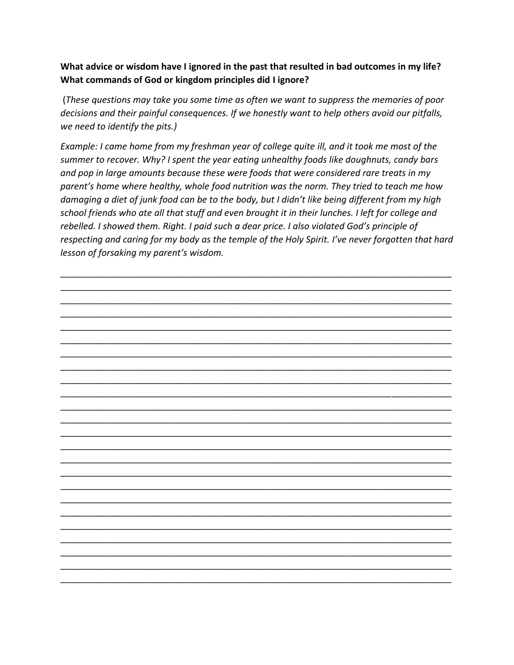## **What advice or wisdom have I ignored in the past that resulted in bad outcomes in my life? What commands of God or kingdom principles did I ignore?**

(*These questions may take you some time as often we want to suppress the memories of poor decisions and their painful consequences. If we honestly want to help others avoid our pitfalls, we need to identify the pits.)*

*Example: I came home from my freshman year of college quite ill, and it took me most of the summer to recover. Why? I spent the year eating unhealthy foods like doughnuts, candy bars and pop in large amounts because these were foods that were considered rare treats in my parent's home where healthy, whole food nutrition was the norm. They tried to teach me how damaging a diet of junk food can be to the body, but I didn't like being different from my high school friends who ate all that stuff and even brought it in their lunches. I left for college and rebelled. I showed them. Right. I paid such a dear price. I also violated God's principle of respecting and caring for my body as the temple of the Holy Spirit. I've never forgotten that hard lesson of forsaking my parent's wisdom.*

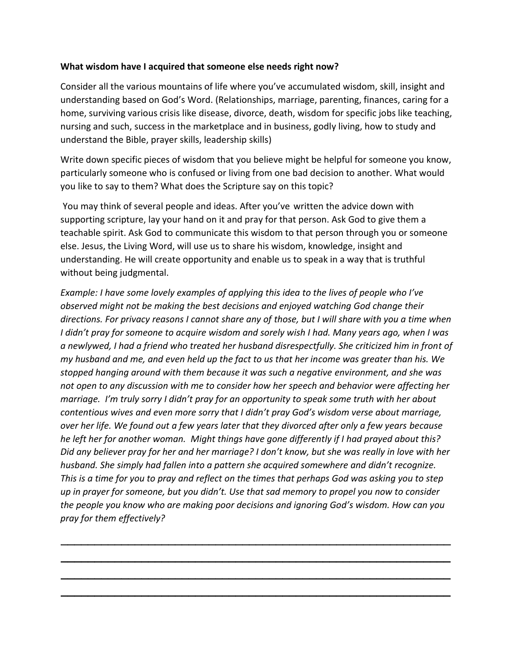## **What wisdom have I acquired that someone else needs right now?**

Consider all the various mountains of life where you've accumulated wisdom, skill, insight and understanding based on God's Word. (Relationships, marriage, parenting, finances, caring for a home, surviving various crisis like disease, divorce, death, wisdom for specific jobs like teaching, nursing and such, success in the marketplace and in business, godly living, how to study and understand the Bible, prayer skills, leadership skills)

Write down specific pieces of wisdom that you believe might be helpful for someone you know, particularly someone who is confused or living from one bad decision to another. What would you like to say to them? What does the Scripture say on this topic?

You may think of several people and ideas. After you've written the advice down with supporting scripture, lay your hand on it and pray for that person. Ask God to give them a teachable spirit. Ask God to communicate this wisdom to that person through you or someone else. Jesus, the Living Word, will use us to share his wisdom, knowledge, insight and understanding. He will create opportunity and enable us to speak in a way that is truthful without being judgmental.

*Example: I have some lovely examples of applying this idea to the lives of people who I've observed might not be making the best decisions and enjoyed watching God change their directions. For privacy reasons I cannot share any of those, but I will share with you a time when I didn't pray for someone to acquire wisdom and sorely wish I had. Many years ago, when I was a newlywed, I had a friend who treated her husband disrespectfully. She criticized him in front of my husband and me, and even held up the fact to us that her income was greater than his. We stopped hanging around with them because it was such a negative environment, and she was not open to any discussion with me to consider how her speech and behavior were affecting her marriage. I'm truly sorry I didn't pray for an opportunity to speak some truth with her about contentious wives and even more sorry that I didn't pray God's wisdom verse about marriage, over her life. We found out a few years later that they divorced after only a few years because he left her for another woman. Might things have gone differently if I had prayed about this? Did any believer pray for her and her marriage? I don't know, but she was really in love with her husband. She simply had fallen into a pattern she acquired somewhere and didn't recognize. This is a time for you to pray and reflect on the times that perhaps God was asking you to step up in prayer for someone, but you didn't. Use that sad memory to propel you now to consider the people you know who are making poor decisions and ignoring God's wisdom. How can you pray for them effectively?*

\_\_\_\_\_\_\_\_\_\_\_\_\_\_\_\_\_\_\_\_\_\_\_\_\_\_\_\_\_\_\_\_\_\_\_\_\_\_\_\_\_\_\_\_\_\_\_\_\_\_\_\_\_\_\_\_\_\_

\_\_\_\_\_\_\_\_\_\_\_\_\_\_\_\_\_\_\_\_\_\_\_\_\_\_\_\_\_\_\_\_\_\_\_\_\_\_\_\_\_\_\_\_\_\_\_\_\_\_\_\_\_\_\_\_\_\_

\_\_\_\_\_\_\_\_\_\_\_\_\_\_\_\_\_\_\_\_\_\_\_\_\_\_\_\_\_\_\_\_\_\_\_\_\_\_\_\_\_\_\_\_\_\_\_\_\_\_\_\_\_\_\_\_\_\_

\_\_\_\_\_\_\_\_\_\_\_\_\_\_\_\_\_\_\_\_\_\_\_\_\_\_\_\_\_\_\_\_\_\_\_\_\_\_\_\_\_\_\_\_\_\_\_\_\_\_\_\_\_\_\_\_\_\_